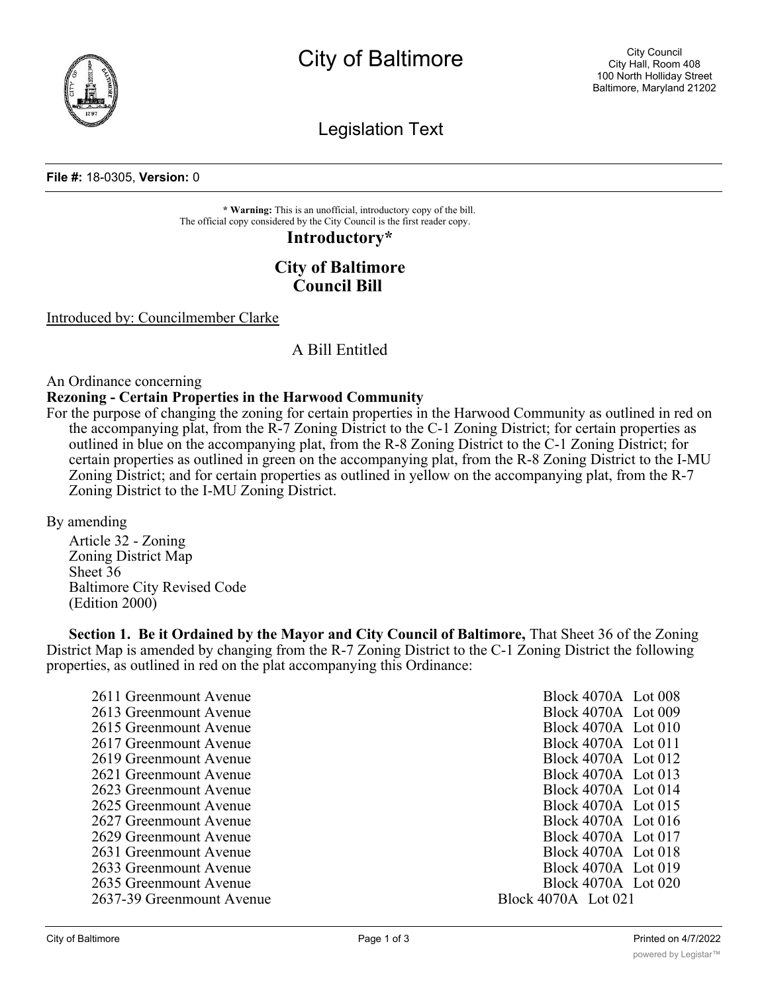

City of Baltimore

Legislation Text

#### **File #:** 18-0305, **Version:** 0

**\* Warning:** This is an unofficial, introductory copy of the bill. The official copy considered by the City Council is the first reader copy.

# **Introductory\***

# **City of Baltimore Council Bill**

Introduced by: Councilmember Clarke

## A Bill Entitled

An Ordinance concerning

### **Rezoning - Certain Properties in the Harwood Community**

For the purpose of changing the zoning for certain properties in the Harwood Community as outlined in red on the accompanying plat, from the R-7 Zoning District to the C-1 Zoning District; for certain properties as outlined in blue on the accompanying plat, from the R-8 Zoning District to the C-1 Zoning District; for certain properties as outlined in green on the accompanying plat, from the R-8 Zoning District to the I-MU Zoning District; and for certain properties as outlined in yellow on the accompanying plat, from the R-7 Zoning District to the I-MU Zoning District.

By amending

Article 32 - Zoning Zoning District Map Sheet 36 Baltimore City Revised Code (Edition 2000)

**Section 1. Be it Ordained by the Mayor and City Council of Baltimore,** That Sheet 36 of the Zoning District Map is amended by changing from the R-7 Zoning District to the C-1 Zoning District the following properties, as outlined in red on the plat accompanying this Ordinance:

| 2611 Greenmount Avenue    | Block 4070A Lot 008     |
|---------------------------|-------------------------|
| 2613 Greenmount Avenue    | Block 4070A Lot 009     |
| 2615 Greenmount Avenue    | Block $4070A$ Lot $010$ |
| 2617 Greenmount Avenue    | Block 4070A Lot 011     |
| 2619 Greenmount Avenue    | Block 4070A Lot 012     |
| 2621 Greenmount Avenue    | Block $4070A$ Lot 013   |
| 2623 Greenmount Avenue    | Block 4070A Lot 014     |
| 2625 Greenmount Avenue    | Block 4070A Lot 015     |
| 2627 Greenmount Avenue    | Block 4070A Lot 016     |
| 2629 Greenmount Avenue    | Block 4070A Lot 017     |
| 2631 Greenmount Avenue    | Block 4070A Lot 018     |
| 2633 Greenmount Avenue    | Block $4070A$ Lot $019$ |
| 2635 Greenmount Avenue    | Block 4070A Lot 020     |
| 2637-39 Greenmount Avenue | Block 4070A Lot 021     |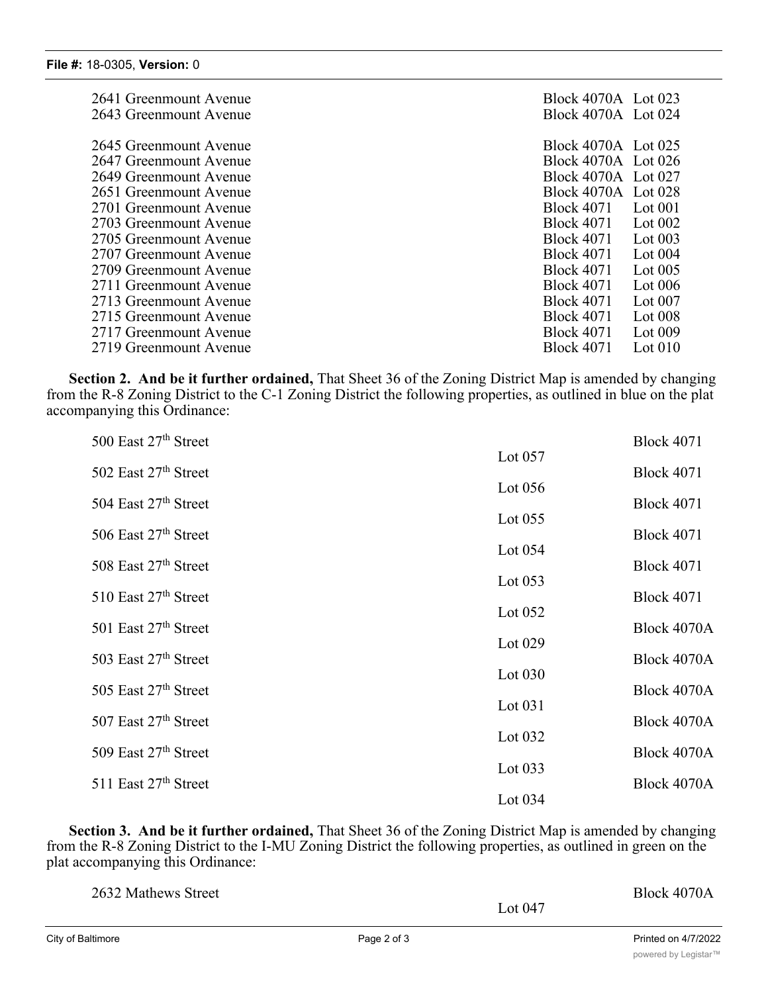| 2641 Greenmount Avenue<br>2643 Greenmount Avenue                           | Block 4070A Lot 023<br>Block 4070A Lot 024                                                         |
|----------------------------------------------------------------------------|----------------------------------------------------------------------------------------------------|
| 2645 Greenmount Avenue<br>2647 Greenmount Avenue<br>2649 Greenmount Avenue | Block 4070A Lot 025<br>Block 4070A Lot 026<br>Block 4070A Lot 027                                  |
| 2651 Greenmount Avenue<br>2701 Greenmount Avenue<br>2703 Greenmount Avenue | Block 4070A Lot 028<br>Block 4071<br>Lot $001$<br><b>Block 4071</b><br>Lot $002$                   |
| 2705 Greenmount Avenue<br>2707 Greenmount Avenue<br>2709 Greenmount Avenue | <b>Block 4071</b><br>Lot $003$<br><b>Block 4071</b><br>Lot $004$<br><b>Block 4071</b><br>Lot $005$ |
| 2711 Greenmount Avenue<br>2713 Greenmount Avenue                           | <b>Block 4071</b><br>Lot $006$<br><b>Block 4071</b><br>Lot $007$                                   |
| 2715 Greenmount Avenue<br>2717 Greenmount Avenue<br>2719 Greenmount Avenue | <b>Block 4071</b><br>Lot $008$<br><b>Block 4071</b><br>Lot $009$<br><b>Block 4071</b><br>Lot $010$ |

**Section 2. And be it further ordained,** That Sheet 36 of the Zoning District Map is amended by changing from the R-8 Zoning District to the C-1 Zoning District the following properties, as outlined in blue on the plat accompanying this Ordinance:

| 500 East $27th$ Street           |           | <b>Block 4071</b> |
|----------------------------------|-----------|-------------------|
| 502 East 27th Street             | Lot $057$ | <b>Block 4071</b> |
|                                  | Lot $056$ |                   |
| 504 East $27th$ Street           | Lot $055$ | <b>Block 4071</b> |
| 506 East $27th$ Street           |           | <b>Block 4071</b> |
| 508 East $27th$ Street           | Lot $054$ | <b>Block 4071</b> |
| 510 East 27th Street             | Lot $053$ | <b>Block 4071</b> |
|                                  | Lot $052$ |                   |
| 501 East 27th Street             | Lot $029$ | Block 4070A       |
| 503 East 27 <sup>th</sup> Street | Lot $030$ | Block 4070A       |
| 505 East $27th$ Street           |           | Block 4070A       |
| 507 East 27th Street             | Lot $031$ | Block 4070A       |
| 509 East 27th Street             | Lot $032$ | Block 4070A       |
|                                  | Lot $033$ |                   |
| 511 East 27th Street             | Lot $034$ | Block 4070A       |
|                                  |           |                   |

**Section 3. And be it further ordained,** That Sheet 36 of the Zoning District Map is amended by changing from the R-8 Zoning District to the I-MU Zoning District the following properties, as outlined in green on the plat accompanying this Ordinance:

| 2632 Mathews Street | Block 4070A |  |
|---------------------|-------------|--|
|                     | Lot $047$   |  |
|                     |             |  |